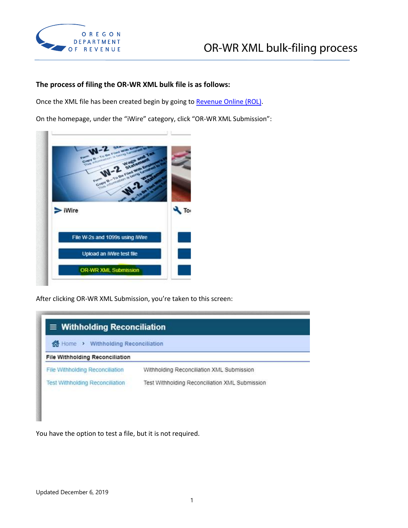

## **The process of filing the OR-WR XML bulk file is as follows:**

Once the XML file has been created begin by going t[o Revenue Online \(ROL\).](https://revenueonline.dor.oregon.gov/tap)

On the homepage, under the "iWire" category, click "OR-WR XML Submission":



After clicking OR-WR XML Submission, you're taken to this screen:

| d Home > Withholding Reconciliation    |                                           |  |  |  |
|----------------------------------------|-------------------------------------------|--|--|--|
| <b>File Withholding Reconciliation</b> |                                           |  |  |  |
|                                        |                                           |  |  |  |
| File Withholding Reconciliation        | Withholding Reconciliation XML Submission |  |  |  |

You have the option to test a file, but it is not required.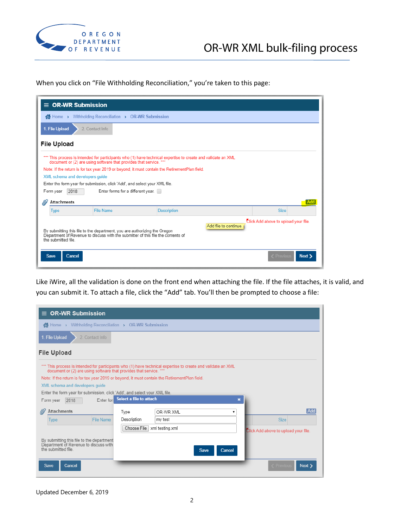

When you click on "File Withholding Reconciliation," you're taken to this page:

|                                                                                                                                                                                                                                                                                                            | $\equiv$ OR-WR Submission                                                                                                                                                          |                                                                                               |                    |             |  |
|------------------------------------------------------------------------------------------------------------------------------------------------------------------------------------------------------------------------------------------------------------------------------------------------------------|------------------------------------------------------------------------------------------------------------------------------------------------------------------------------------|-----------------------------------------------------------------------------------------------|--------------------|-------------|--|
|                                                                                                                                                                                                                                                                                                            | K Home > Withholding Reconciliation > OR-WR Submission                                                                                                                             |                                                                                               |                    |             |  |
|                                                                                                                                                                                                                                                                                                            | 1. File Upload<br>2. Contact Info                                                                                                                                                  |                                                                                               |                    |             |  |
|                                                                                                                                                                                                                                                                                                            | <b>File Upload</b>                                                                                                                                                                 |                                                                                               |                    |             |  |
|                                                                                                                                                                                                                                                                                                            | *** This process is intended for participants who (1) have technical expertise to create and validate an XML<br>document or (2) are using software that provides that service. *** |                                                                                               |                    |             |  |
|                                                                                                                                                                                                                                                                                                            |                                                                                                                                                                                    | Note: If the return is for tax year 2019 or beyond, it must contain the RetirementPlan field. |                    |             |  |
|                                                                                                                                                                                                                                                                                                            |                                                                                                                                                                                    | XML schema and developers quide                                                               |                    |             |  |
|                                                                                                                                                                                                                                                                                                            |                                                                                                                                                                                    | Enter the form year for submission, click 'Add', and select your XML file.                    |                    |             |  |
|                                                                                                                                                                                                                                                                                                            | Form year                                                                                                                                                                          | Enter forms for a different year.<br>2018                                                     |                    |             |  |
|                                                                                                                                                                                                                                                                                                            | <b>Attachments</b>                                                                                                                                                                 |                                                                                               |                    |             |  |
|                                                                                                                                                                                                                                                                                                            | <b>Type</b>                                                                                                                                                                        | File Name                                                                                     | <b>Description</b> | <b>Size</b> |  |
| Click Add above to upload your file.<br>Add file to continue.<br>By submitting this file to the department, you are authorizing the Oregon<br>Department of Revenue to discuss with the submitter of this file the contents of<br>the submitted file<br>Cancel<br><b>Save</b><br><b>Next</b><br>C Previous |                                                                                                                                                                                    |                                                                                               |                    |             |  |
|                                                                                                                                                                                                                                                                                                            |                                                                                                                                                                                    |                                                                                               |                    |             |  |

Like iWire, all the validation is done on the front end when attaching the file. If the file attaches, it is valid, and you can submit it. To attach a file, click the "Add" tab. You'll then be prompted to choose a file:

| <b>OR-WR Submission</b><br>$\equiv$                                                                                                                                                |                                                                                               |                 |                                      |  |
|------------------------------------------------------------------------------------------------------------------------------------------------------------------------------------|-----------------------------------------------------------------------------------------------|-----------------|--------------------------------------|--|
| Withholding Reconciliation > OR-WR Submission<br>K <sup>*</sup> Home →                                                                                                             |                                                                                               |                 |                                      |  |
| 1. File Upload<br>2. Contact Info                                                                                                                                                  |                                                                                               |                 |                                      |  |
| <b>File Upload</b>                                                                                                                                                                 |                                                                                               |                 |                                      |  |
| *** This process is intended for participants who (1) have technical expertise to create and validate an XML<br>document or (2) are using software that provides that service. *** |                                                                                               |                 |                                      |  |
|                                                                                                                                                                                    | Note: If the return is for tax year 2019 or beyond, it must contain the RetirementPlan field. |                 |                                      |  |
| XML schema and developers quide                                                                                                                                                    |                                                                                               |                 |                                      |  |
| Enter the form year for submission, click 'Add', and select your XML file.                                                                                                         |                                                                                               |                 |                                      |  |
| Select a file to attach<br>Enter for<br>×<br>2018<br>Form year                                                                                                                     |                                                                                               |                 |                                      |  |
| <b>Attachments</b>                                                                                                                                                                 | Type                                                                                          | OR-WR XML<br>▼  | Add                                  |  |
| <b>File Name</b><br><b>Type</b>                                                                                                                                                    | Description                                                                                   | my test         | <b>Size</b>                          |  |
|                                                                                                                                                                                    | Choose File                                                                                   | xml testing.xml | Click Add above to upload your file. |  |
| By submitting this file to the department<br>Department of Revenue to discuss with<br>the submitted file                                                                           |                                                                                               | Save<br>Cancel  |                                      |  |
| Save<br><b>Cancel</b>                                                                                                                                                              |                                                                                               |                 | <b>Next</b><br><b>Previous</b>       |  |

Updated December 6, 2019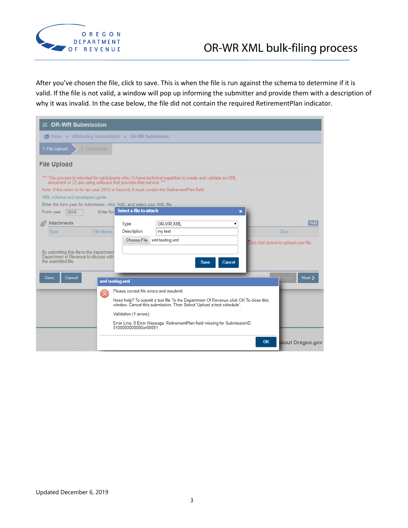

After you've chosen the file, click to save. This is when the file is run against the schema to determine if it is valid. If the file is not valid, a window will pop up informing the submitter and provide them with a description of why it was invalid. In the case below, the file did not contain the required RetirementPlan indicator.

| <b>OR-WR Submission</b><br>=                                                                                                                                                                                                                                                         |                                                                   |                                                                                                              |                                      |  |  |
|--------------------------------------------------------------------------------------------------------------------------------------------------------------------------------------------------------------------------------------------------------------------------------------|-------------------------------------------------------------------|--------------------------------------------------------------------------------------------------------------|--------------------------------------|--|--|
| K Home > Withholding Reconciliation > OR-WR Submission                                                                                                                                                                                                                               |                                                                   |                                                                                                              |                                      |  |  |
| 1. File Upload<br>2. Contact Info                                                                                                                                                                                                                                                    |                                                                   |                                                                                                              |                                      |  |  |
| <b>File Upload</b>                                                                                                                                                                                                                                                                   |                                                                   |                                                                                                              |                                      |  |  |
| document or (2) are using software that provides that service. ***<br>Note: If the return is for tax year 2019 or beyond, it must contain the RetirementPlan field.<br>XML schema and developers quide<br>Enter the form year for submission, click 'Add', and select your XML file. |                                                                   | *** This process is intended for participants who (1) have technical expertise to create and validate an XML |                                      |  |  |
| 2019<br>Form year                                                                                                                                                                                                                                                                    | Select a file to attach<br>Enter for                              |                                                                                                              | ×                                    |  |  |
| <b>Attachments</b>                                                                                                                                                                                                                                                                   | Type                                                              | OR-WR XML<br>▼                                                                                               | Add                                  |  |  |
| <b>File Name</b><br><b>Type</b>                                                                                                                                                                                                                                                      | Description                                                       | my test                                                                                                      | <b>Size</b>                          |  |  |
|                                                                                                                                                                                                                                                                                      | Choose File   xml testing.xml                                     |                                                                                                              | Click Add above to upload your file. |  |  |
| By submitting this file to the department<br>Department of Revenue to discuss with<br>the submitted file                                                                                                                                                                             |                                                                   | Cancel<br><b>Save</b>                                                                                        |                                      |  |  |
| Save<br>Cancel                                                                                                                                                                                                                                                                       | xml testing.xml                                                   |                                                                                                              | <b>Next</b>                          |  |  |
|                                                                                                                                                                                                                                                                                      | Please correct file errors and resubmit.<br>$\boldsymbol{\times}$ | Need help? To submit a test file To the Department Of Revenue click OK To close this                         |                                      |  |  |
|                                                                                                                                                                                                                                                                                      | Validation (1 errors):                                            | window, Cancel this submission, Then Select 'Upload a test schedule'.                                        |                                      |  |  |
|                                                                                                                                                                                                                                                                                      | 0100000000000or00001                                              | Error Line: 0 Error Message: RetirementPlan field missing for SubmissionID                                   |                                      |  |  |
|                                                                                                                                                                                                                                                                                      |                                                                   |                                                                                                              | <b>OK</b><br>bout Oregon.gov         |  |  |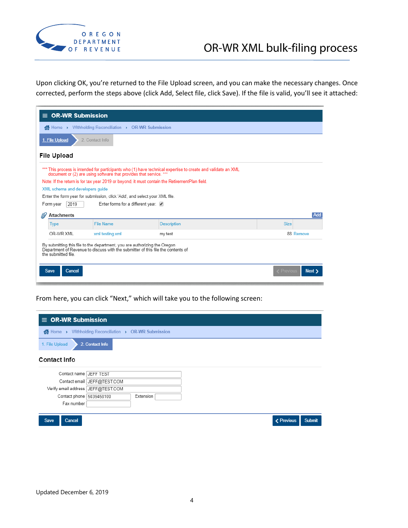

Upon clicking OK, you're returned to the File Upload screen, and you can make the necessary changes. Once corrected, perform the steps above (click Add, Select file, click Save). If the file is valid, you'll see it attached:

|                                                                                                                                                                                     | $\equiv$ OR-WR Submission                              |                                                                                               |                    |             |           |  |
|-------------------------------------------------------------------------------------------------------------------------------------------------------------------------------------|--------------------------------------------------------|-----------------------------------------------------------------------------------------------|--------------------|-------------|-----------|--|
|                                                                                                                                                                                     | K Home > Withholding Reconciliation > OR-WR Submission |                                                                                               |                    |             |           |  |
| 1. File Upload<br>2. Contact Info                                                                                                                                                   |                                                        |                                                                                               |                    |             |           |  |
| <b>File Upload</b>                                                                                                                                                                  |                                                        |                                                                                               |                    |             |           |  |
| *** This process is intended for participants who (1) have technical expertise to create and validate an XML<br>document or (2) are using software that provides that service. ***  |                                                        |                                                                                               |                    |             |           |  |
|                                                                                                                                                                                     |                                                        | Note: If the return is for tax year 2019 or beyond, it must contain the RetirementPlan field. |                    |             |           |  |
|                                                                                                                                                                                     | XML schema and developers guide                        |                                                                                               |                    |             |           |  |
|                                                                                                                                                                                     |                                                        | Enter the form year for submission, click 'Add', and select your XML file.                    |                    |             |           |  |
|                                                                                                                                                                                     | Form year<br>2019                                      | Enter forms for a different year.                                                             |                    |             |           |  |
| Add<br>Attachments<br>lb                                                                                                                                                            |                                                        |                                                                                               |                    |             |           |  |
|                                                                                                                                                                                     | <b>Type</b>                                            | <b>File Name</b>                                                                              | <b>Description</b> | <b>Size</b> |           |  |
|                                                                                                                                                                                     | OR-WR XML                                              | xml testing.xml                                                                               | my test            |             | 88 Remove |  |
| By submitting this file to the department, you are authorizing the Oregon<br>Department of Revenue to discuss with the submitter of this file the contents of<br>the submitted file |                                                        |                                                                                               |                    |             |           |  |
|                                                                                                                                                                                     | < Previous<br><b>Save</b><br>Cancel<br>Next :          |                                                                                               |                    |             |           |  |

From here, you can click "Next," which will take you to the following screen:

| $\equiv$ OR-WR Submission                              |                             |            |        |
|--------------------------------------------------------|-----------------------------|------------|--------|
| K Home > Withholding Reconciliation > OR-WR Submission |                             |            |        |
| 2. Contact Info<br>1. File Upload                      |                             |            |        |
| <b>Contact Info</b>                                    |                             |            |        |
| Contact name JEFF TEST                                 |                             |            |        |
|                                                        | Contact email JEFF@TEST.COM |            |        |
| Verify email address JEFF@TEST.COM                     |                             |            |        |
| Contact phone 5039458100                               | Extension                   |            |        |
| Fax number                                             |                             |            |        |
|                                                        |                             |            |        |
| Cancel<br><b>Save</b>                                  |                             | < Previous | Submit |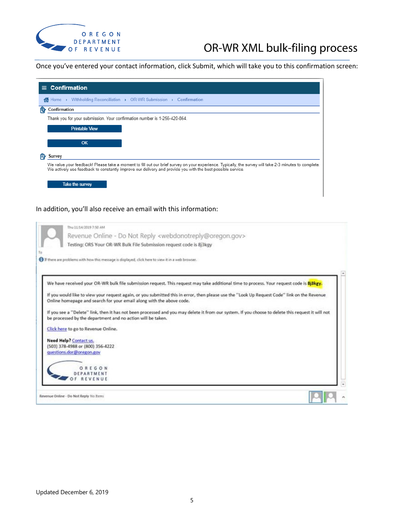

## OR-WR XML bulk-filing process

Once you've entered your contact information, click Submit, which will take you to this confirmation screen:



Click here to go to Revenue Online.

Need Help? Contact us. (503) 378-4988 or (800) 356-4222 questions.dor@oregon.gov OREGON

DEPARTMENT OF REVENUE

Revenue Online - Do Not Reply No Items